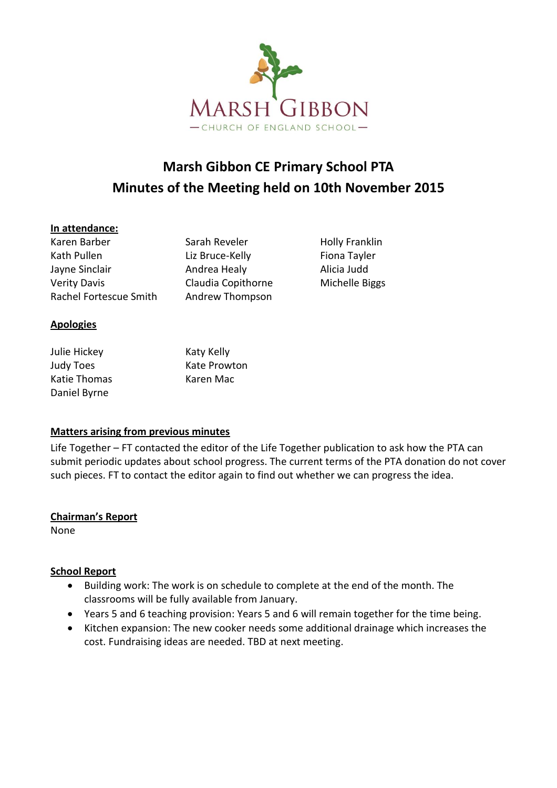

# **Marsh Gibbon CE Primary School PTA Minutes of the Meeting held on 10th November 2015**

## **In attendance:**

Karen Barber Sarah Reveler Holly Franklin Kath Pullen **Liz Bruce-Kelly** Fiona Tayler Jayne Sinclair **Andrea Healy** Alicia Judd Verity Davis **Claudia Copithorne** Michelle Biggs Rachel Fortescue Smith Andrew Thompson

**Apologies**

Julie Hickey **Katy Katy Kelly** Judy Toes **Kate Prowton** Katie Thomas Karen Mac Daniel Byrne

## **Matters arising from previous minutes**

Life Together – FT contacted the editor of the Life Together publication to ask how the PTA can submit periodic updates about school progress. The current terms of the PTA donation do not cover such pieces. FT to contact the editor again to find out whether we can progress the idea.

## **Chairman's Report**

None

## **School Report**

- Building work: The work is on schedule to complete at the end of the month. The classrooms will be fully available from January.
- Years 5 and 6 teaching provision: Years 5 and 6 will remain together for the time being.
- Kitchen expansion: The new cooker needs some additional drainage which increases the cost. Fundraising ideas are needed. TBD at next meeting.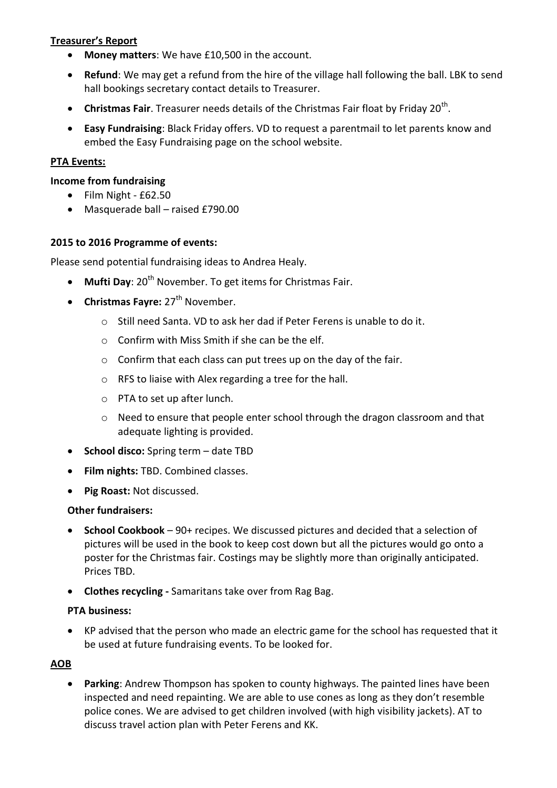## **Treasurer's Report**

- **Money matters**: We have £10,500 in the account.
- **Refund**: We may get a refund from the hire of the village hall following the ball. LBK to send hall bookings secretary contact details to Treasurer.
- **Christmas Fair**. Treasurer needs details of the Christmas Fair float by Friday 20<sup>th</sup>.
- **Easy Fundraising**: Black Friday offers. VD to request a parentmail to let parents know and embed the Easy Fundraising page on the school website.

## **PTA Events:**

#### **Income from fundraising**

- $\bullet$  Film Night £62.50
- Masquerade ball raised £790.00

#### **2015 to 2016 Programme of events:**

Please send potential fundraising ideas to Andrea Healy.

- **Mufti Day**: 20<sup>th</sup> November. To get items for Christmas Fair.
- **Christmas Fayre:** 27<sup>th</sup> November.
	- o Still need Santa. VD to ask her dad if Peter Ferens is unable to do it.
	- $\circ$  Confirm with Miss Smith if she can be the elf.
	- o Confirm that each class can put trees up on the day of the fair.
	- o RFS to liaise with Alex regarding a tree for the hall.
	- o PTA to set up after lunch.
	- o Need to ensure that people enter school through the dragon classroom and that adequate lighting is provided.
- **School disco:** Spring term date TBD
- **Film nights:** TBD. Combined classes.
- **Pig Roast:** Not discussed.

#### **Other fundraisers:**

- **School Cookbook**  90+ recipes. We discussed pictures and decided that a selection of pictures will be used in the book to keep cost down but all the pictures would go onto a poster for the Christmas fair. Costings may be slightly more than originally anticipated. Prices TBD.
- **Clothes recycling -** Samaritans take over from Rag Bag.

#### **PTA business:**

 KP advised that the person who made an electric game for the school has requested that it be used at future fundraising events. To be looked for.

## **AOB**

 **Parking**: Andrew Thompson has spoken to county highways. The painted lines have been inspected and need repainting. We are able to use cones as long as they don't resemble police cones. We are advised to get children involved (with high visibility jackets). AT to discuss travel action plan with Peter Ferens and KK.